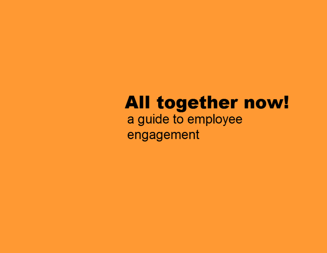# **All together now!** a guide to employee engagement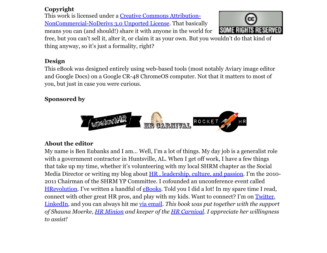## **Copyright**

This work is licensed under a **[Creative](http://www.google.com/url?q=http%3A%2F%2Fcreativecommons.org%2Flicenses%2Fby-nc-nd%2F3.0%2F&sa=D&sntz=1&usg=AFQjCNGLjr_jzVJSWxf6H1UmJmx0l7ooDA) Comm[on](http://www.google.com/url?q=http%3A%2F%2Fcreativecommons.org%2Flicenses%2Fby-nc-nd%2F3.0%2F&sa=D&sntz=1&usg=AFQjCNGLjr_jzVJSWxf6H1UmJmx0l7ooDA)s [Attributio](http://www.google.com/url?q=http%3A%2F%2Fcreativecommons.org%2Flicenses%2Fby-nc-nd%2F3.0%2F&sa=D&sntz=1&usg=AFQjCNGLjr_jzVJSWxf6H1UmJmx0l7ooDA)n-**[NonCommercial-](http://www.google.com/url?q=http%3A%2F%2Fcreativecommons.org%2Flicenses%2Fby-nc-nd%2F3.0%2F&sa=D&sntz=1&usg=AFQjCNGLjr_jzVJSWxf6H1UmJmx0l7ooDA)NoDerivs 3.0 U[nported](http://www.google.com/url?q=http%3A%2F%2Fcreativecommons.org%2Flicenses%2Fby-nc-nd%2F3.0%2F&sa=D&sntz=1&usg=AFQjCNGLjr_jzVJSWxf6H1UmJmx0l7ooDA) License. That [bas](http://www.google.com/url?q=http%3A%2F%2Fcreativecommons.org%2Flicenses%2Fby-nc-nd%2F3.0%2F&sa=D&sntz=1&usg=AFQjCNGLjr_jzVJSWxf6H1UmJmx0l7ooDA)ical[ly](http://www.google.com/url?q=http%3A%2F%2Fcreativecommons.org%2Flicenses%2Fby-nc-nd%2F3.0%2F&sa=D&sntz=1&usg=AFQjCNGLjr_jzVJSWxf6H1UmJmx0l7ooDA) means you can (and should!) share it with anyone in the world for



free, but you can't sell it, alter it, or claim it as your own. But you wouldn't do that kind of thing anyway, so it's just a formality, right?

## **Design**

This eBook was designed entirely using web-based tools (most notably Aviary image editor and Google Docs) on a Google CR-48 ChromeOS computer. Not that it matters to most of you, but just in case you were curious.

# **Sponsored by**



## **About the editor**

My name is Ben Eubanks and I am… Well, I'm a lot of things. My day job is a generalist role with a government contractor in Huntsville, AL. When I get off work, I have a few things that take up my time, whether it's volunteering with my local SHRM chapter as the Social Media Director or writing my blog about [HR](http://www.google.com/url?q=http%3A%2F%2Fupstarthr.com%2Ffirst-time-here&sa=D&sntz=1&usg=AFQjCNGEp7xl0cgph82PO0OiT8dxp5WI0A), l[eadership,](http://www.google.com/url?q=http%3A%2F%2Fupstarthr.com%2Ffirst-time-here&sa=D&sntz=1&usg=AFQjCNGEp7xl0cgph82PO0OiT8dxp5WI0A) culture, and p[assion.](http://www.google.com/url?q=http%3A%2F%2Fupstarthr.com%2Ffirst-time-here&sa=D&sntz=1&usg=AFQjCNGEp7xl0cgph82PO0OiT8dxp5WI0A) I'[m](http://www.google.com/url?q=http%3A%2F%2Fupstarthr.com%2Ffirst-time-here&sa=D&sntz=1&usg=AFQjCNGEp7xl0cgph82PO0OiT8dxp5WI0A) the 2[010-](http://www.google.com/url?q=http%3A%2F%2Fupstarthr.com%2Ffirst-time-here&sa=D&sntz=1&usg=AFQjCNGEp7xl0cgph82PO0OiT8dxp5WI0A) 2011 Chairman of the SHRM YP Committee. I cofounded an unconference event called [HRevolution](http://www.google.com/url?q=http%3A%2F%2Fthehrevolution.org%2F&sa=D&sntz=1&usg=AFQjCNE4QiI4Y0Vmo6G0-5YlyVmdcMSZ8Q). I've written a handfu[l](http://www.google.com/url?q=http%3A%2F%2Fupstarthr.com%2Ffreebies&sa=D&sntz=1&usg=AFQjCNHI0cdcMPTpZPY92_9xAnNqqxaB_g) of **[eBooks](http://www.google.com/url?q=http%3A%2F%2Fupstarthr.com%2Ffreebies&sa=D&sntz=1&usg=AFQjCNHI0cdcMPTpZPY92_9xAnNqqxaB_g)**. Told you I did a lot! In my spare time I read, connect with other great HR pros, and play with my kids. Want to connect? I'm on [Twitter](http://www.google.com/url?q=http%3A%2F%2Ftwitter.com%2Fbeneubanks&sa=D&sntz=1&usg=AFQjCNHdAxrZyLgiiLrGcp-iyfqnSaXQeg), [LinkedIn,](http://www.google.com/url?q=http%3A%2F%2Flinkedin.com%2Fin%2Fbeneubanks&sa=D&sntz=1&usg=AFQjCNFksvaXzVa3-7NcwUBgjhdO35-Eqg) and you can always hit me via email. *This book was put together with the support* of Shauna Moerke, [HR](http://www.google.com/url?q=http%3A%2F%2Fcarnivalofhr.com%2F&sa=D&sntz=1&usg=AFQjCNGeQ13X_Hg1fBl71bO37zuKdUO6Bg) Mi[n](http://www.google.com/url?q=http%3A%2F%2Fhrminion.com%2F&sa=D&sntz=1&usg=AFQjCNF-R5LhAy3OResm5i5tVo90H4Z-QA)ion [and](http://www.google.com/url?q=http%3A%2F%2Fhrminion.com%2F&sa=D&sntz=1&usg=AFQjCNF-R5LhAy3OResm5i5tVo90H4Z-QA) k[e](http://www.google.com/url?q=http%3A%2F%2Fhrminion.com%2F&sa=D&sntz=1&usg=AFQjCNF-R5LhAy3OResm5i5tVo90H4Z-QA)eper of the HR Ca[rnival.](http://www.google.com/url?q=http%3A%2F%2Fcarnivalofhr.com%2F&sa=D&sntz=1&usg=AFQjCNGeQ13X_Hg1fBl71bO37zuKdUO6Bg) I a[p](http://www.google.com/url?q=http%3A%2F%2Fcarnivalofhr.com%2F&sa=D&sntz=1&usg=AFQjCNGeQ13X_Hg1fBl71bO37zuKdUO6Bg)preciate her willingness *to assist!*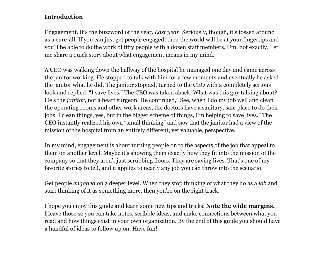## **Introduction**

Engagement. It's the buzzword of the year. *Last year*. Seriously, though, it's tossed around as a cure-all. If you can just get people engaged, then the world will be at your fingertips and you'll be able to do the work of fifty people with a dozen staff members. Um, not exactly. Let me share a quick story about what engagement means in my mind.

A CEO was walking down the hallway of the hospital he managed one day and came across the janitor working. He stopped to talk with him for a few moments and eventually he asked the janitor what he did. The janitor stopped, turned to the CEO with a completely serious look and replied, "I save lives." The CEO was taken aback. What was this guy talking about? He's the *janitor*, not a heart surgeon. He continued, "See, when I do my job well and clean the operating rooms and other work areas, the doctors have a sanitary, safe place to do their jobs. I clean things, yes, but in the bigger scheme of things, I'm helping to save lives." The CEO instantly realized his own "small thinking" and saw that the janitor had a view of the mission of the hospital from an entirely different, yet valuable, perspective.

In my mind, engagement is about turning people on to the aspects of the job that appeal to them on another level. Maybe it's showing them exactly how they fit into the mission of the company so that they aren't just scrubbing floors. They are saving lives. That's one of my favorite stories to tell, and it applies to nearly any job you can throw into the scenario.

Get people *engaged* on a deeper level. When they stop thinking of what they do as a *job* and start thinking of it as something more, then you're on the right track.

I hope you enjoy this guide and learn some new tips and tricks. **Note the wide margins.** I leave those so you can take notes, scribble ideas, and make connections between what you read and how things exist in your own organization. By the end of this guide you should have a handful of ideas to follow up on. Have fun!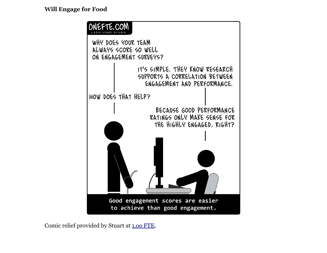

Comic relief provided by Stuart at **[1.](http://www.google.com/url?q=http%3A%2F%2Fonefte.com%2F2011%2F02%2F02%2Fwill-engage-for-food%2F&sa=D&sntz=1&usg=AFQjCNH97t_A86Ndp3txOC8gMfd51hAa9w)00 [F](http://www.google.com/url?q=http%3A%2F%2Fonefte.com%2F2011%2F02%2F02%2Fwill-engage-for-food%2F&sa=D&sntz=1&usg=AFQjCNH97t_A86Ndp3txOC8gMfd51hAa9w)TE**.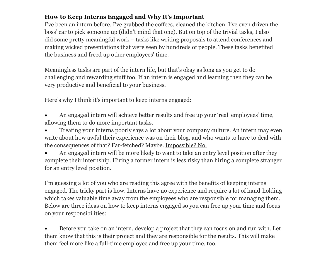## **How to Keep Interns Engaged and Why It's Important**

I've been an intern before. I've grabbed the coffees, cleaned the kitchen. I've even driven the boss' car to pick someone up (didn't mind that one). But on top of the trivial tasks, I also did some pretty meaningful work – tasks like writing proposals to attend conferences and making wicked presentations that were seen by hundreds of people. These tasks benefited the business and freed up other employees' time.

Meaningless tasks are part of the intern life, but that's okay as long as you get to do challenging and rewarding stuff too. If an intern is engaged and learning then they can be very productive and beneficial to your business.

Here's why I think it's important to keep interns engaged:

- An engaged intern will achieve better results and free up your 'real' employees' time, allowing them to do more important tasks.
- Treating your interns poorly says a lot about your company culture. An intern may even write about how awful their experience was on their blog, and who wants to have to deal with the consequences of that? Far-fetched? Maybe. [Impossible?](http://www.google.com/url?q=http%3A%2F%2Fwww2.macleans.ca%2F2011%2F02%2F09%2Fit-could-be-payback-time%2F&sa=D&sntz=1&usg=AFQjCNE0wldTw7q2qUtz2LjLyzXrO_HnTg) No.
- An engaged intern will be more likely to want to take an entry level position after they complete their internship. Hiring a former intern is less risky than hiring a complete stranger for an entry level position.

I'm guessing a lot of you who are reading this agree with the benefits of keeping interns engaged. The tricky part is how. Interns have no experience and require a lot of hand-holding which takes valuable time away from the employees who are responsible for managing them. Below are three ideas on how to keep interns engaged so you can free up your time and focus on your responsibilities:

• Before you take on an intern, develop a project that they can focus on and run with. Let them know that this is their project and they are responsible for the results. This will make them feel more like a full-time employee and free up your time, too.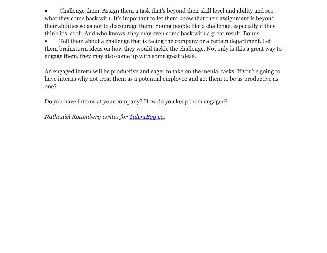Challenge them. Assign them a task that's beyond their skill level and ability and see what they come back with. It's important to let them know that their assignment is beyond their abilities so as not to discourage them. Young people like a challenge, especially if they think it's 'cool'. And who knows, they may even come back with a great result. Bonus.

Tell them about a challenge that is facing the company or a certain department. Let them brainstorm ideas on how they would tackle the challenge. Not only is this a great way to engage them, they may also come up with some great ideas.

An engaged intern will be productive and eager to take on the menial tasks. If you're going to have interns why not treat them as a potential employee and get them to be as productive as one?

Do you have interns at your company? How do you keep them engaged?

*Nathaniel Rottenberg writes for [TalentEgg.](http://www.google.com/url?q=http%3A%2F%2Ftalentegg.ca%2Fblog%2F&sa=D&sntz=1&usg=AFQjCNHFE9OBnIF_m7sOrcH8KrTdlMonGA)ca.*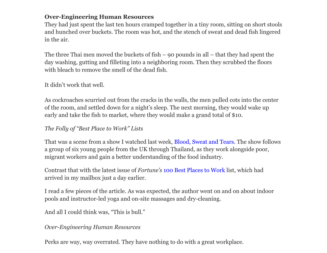## **Over-Engineering Human Resources**

They had just spent the last ten hours cramped together in a tiny room, sitting on short stools and hunched over buckets. The room was hot, and the stench of sweat and dead fish lingered in the air.

The three Thai men moved the buckets of fish – 90 pounds in all – that they had spent the day washing, gutting and filleting into a neighboring room. Then they scrubbed the floors with bleach to remove the smell of the dead fish.

It didn't work that well.

As cockroaches scurried out from the cracks in the walls, the men pulled cots into the center of the room, and settled down for a night's sleep. The next morning, they would wake up early and take the fish to market, where they would make a grand total of \$10.

## *The Folly of "Best Place to Work" Lists*

That was a scene from a show I watched last week, [Blood](http://www.google.com/url?q=http%3A%2F%2Fplanetgreen.discovery.com%2Ftv%2Fblood-sweat-takeaways%2Ftakeaways-show.html&sa=D&sntz=1&usg=AFQjCNG4XE2UhSdq5iPhyiLQlLaooygSNA), Swe[at](http://www.google.com/url?q=http%3A%2F%2Fplanetgreen.discovery.com%2Ftv%2Fblood-sweat-takeaways%2Ftakeaways-show.html&sa=D&sntz=1&usg=AFQjCNG4XE2UhSdq5iPhyiLQlLaooygSNA) [and](http://www.google.com/url?q=http%3A%2F%2Fplanetgreen.discovery.com%2Ftv%2Fblood-sweat-takeaways%2Ftakeaways-show.html&sa=D&sntz=1&usg=AFQjCNG4XE2UhSdq5iPhyiLQlLaooygSNA) Tears. [Th](http://www.google.com/url?q=http%3A%2F%2Fplanetgreen.discovery.com%2Ftv%2Fblood-sweat-takeaways%2Ftakeaways-show.html&sa=D&sntz=1&usg=AFQjCNG4XE2UhSdq5iPhyiLQlLaooygSNA)e [sh](http://www.google.com/url?q=http%3A%2F%2Fplanetgreen.discovery.com%2Ftv%2Fblood-sweat-takeaways%2Ftakeaways-show.html&sa=D&sntz=1&usg=AFQjCNG4XE2UhSdq5iPhyiLQlLaooygSNA)ow [follows](http://www.google.com/url?q=http%3A%2F%2Fplanetgreen.discovery.com%2Ftv%2Fblood-sweat-takeaways%2Ftakeaways-show.html&sa=D&sntz=1&usg=AFQjCNG4XE2UhSdq5iPhyiLQlLaooygSNA) a group of six young people from the UK through Thailand, as they work alongside poor, migrant workers and gain a better understanding of the food industry.

Contrast that with the latest issue of *Fortune's* [100](http://www.google.com/url?q=http%3A%2F%2Fmoney.cnn.com%2Fmagazines%2Ffortune%2Fbestcompanies%2F2010%2F&sa=D&sntz=1&usg=AFQjCNGS0v7KX_tWs2aH2_oFkeaqJeyHyA) Best [Plac](http://www.google.com/url?q=http%3A%2F%2Fmoney.cnn.com%2Fmagazines%2Ffortune%2Fbestcompanies%2F2010%2F&sa=D&sntz=1&usg=AFQjCNGS0v7KX_tWs2aH2_oFkeaqJeyHyA)es t[o](http://www.google.com/url?q=http%3A%2F%2Fmoney.cnn.com%2Fmagazines%2Ffortune%2Fbestcompanies%2F2010%2F&sa=D&sntz=1&usg=AFQjCNGS0v7KX_tWs2aH2_oFkeaqJeyHyA) [Work](http://www.google.com/url?q=http%3A%2F%2Fmoney.cnn.com%2Fmagazines%2Ffortune%2Fbestcompanies%2F2010%2F&sa=D&sntz=1&usg=AFQjCNGS0v7KX_tWs2aH2_oFkeaqJeyHyA) list, w[hich](http://www.google.com/url?q=http%3A%2F%2Fmoney.cnn.com%2Fmagazines%2Ffortune%2Fbestcompanies%2F2010%2F&sa=D&sntz=1&usg=AFQjCNGS0v7KX_tWs2aH2_oFkeaqJeyHyA) [had](http://www.google.com/url?q=http%3A%2F%2Fmoney.cnn.com%2Fmagazines%2Ffortune%2Fbestcompanies%2F2010%2F&sa=D&sntz=1&usg=AFQjCNGS0v7KX_tWs2aH2_oFkeaqJeyHyA) arrived in my mailbox just a day earlier.

I read a few pieces of the article. As was expected, the author went on and on about indoor pools and instructor-led yoga and on-site massages and dry-cleaning.

And all I could think was, "This is bull."

*Over-Engineering Human Resources*

Perks are way, way overrated. They have nothing to do with a great workplace.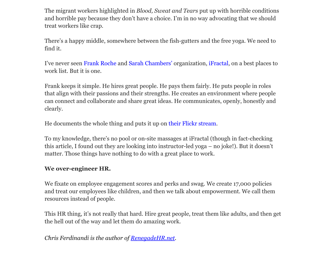The migrant workers highlighted in *Blood, Sweat and Tears* put up with horrible conditions and horrible pay because they don't have a choice. I'm in no way advocating that we should treat workers like crap.

There's a happy middle, somewhere between the fish-gutters and the free yoga. We need to find it.

I've never seen [Frank](http://www.google.com/url?q=http%3A%2F%2Ftwitter.com%2Ffrankroche&sa=D&sntz=1&usg=AFQjCNHi8fhTLgevkl_lbAMR7-tEF4hlmw) Roch[e](http://www.google.com/url?q=http%3A%2F%2Ftwitter.com%2Ffrankroche&sa=D&sntz=1&usg=AFQjCNHi8fhTLgevkl_lbAMR7-tEF4hlmw) [and](http://www.google.com/url?q=http%3A%2F%2Ftwitter.com%2Ffrankroche&sa=D&sntz=1&usg=AFQjCNHi8fhTLgevkl_lbAMR7-tEF4hlmw) [Sarah](http://www.google.com/url?q=http%3A%2F%2Ftwitter.com%2Fsarahchambers&sa=D&sntz=1&usg=AFQjCNGVdSUY_SqcbNUpd62lCWmEXhXftQ) Cha[m](http://www.google.com/url?q=http%3A%2F%2Ftwitter.com%2Fsarahchambers&sa=D&sntz=1&usg=AFQjCNGVdSUY_SqcbNUpd62lCWmEXhXftQ)bers' [organ](http://www.google.com/url?q=http%3A%2F%2Ftwitter.com%2Fsarahchambers&sa=D&sntz=1&usg=AFQjCNGVdSUY_SqcbNUpd62lCWmEXhXftQ)ization, [iFractal](http://www.google.com/url?q=http%3A%2F%2Fwww.ifractal.com%2F&sa=D&sntz=1&usg=AFQjCNEvxphvQoqzeDbut7Qr8tl3Knuryw), on a best places to work list. But it is one.

Frank keeps it simple. He hires great people. He pays them fairly. He puts people in roles that align with their passions and their strengths. He creates an environment where people can connect and collaborate and share great ideas. He communicates, openly, honestly and clearly.

He documents the whole thing and puts it up on [their](http://www.google.com/url?q=http%3A%2F%2Fwww.flickr.com%2Fphotos%2Fifractal_llc%2F&sa=D&sntz=1&usg=AFQjCNESbtWRinJHW2jEK3wRsA4zNt9i5g) Flic[k](http://www.google.com/url?q=http%3A%2F%2Fwww.flickr.com%2Fphotos%2Fifractal_llc%2F&sa=D&sntz=1&usg=AFQjCNESbtWRinJHW2jEK3wRsA4zNt9i5g)r [strea](http://www.google.com/url?q=http%3A%2F%2Fwww.flickr.com%2Fphotos%2Fifractal_llc%2F&sa=D&sntz=1&usg=AFQjCNESbtWRinJHW2jEK3wRsA4zNt9i5g)m.

To my knowledge, there's no pool or on-site massages at iFractal (though in fact-checking this article, I found out they are looking into instructor-led yoga – no joke!). But it doesn't matter. Those things have nothing to do with a great place to work.

#### **We over-engineer HR.**

We fixate on employee engagement scores and perks and swag. We create 17,000 policies and treat our employees like children, and then we talk about empowerment. We call them resources instead of people.

This HR thing, it's not really that hard. Hire great people, treat them like adults, and then get the hell out of the way and let them do amazing work.

*Chris Ferdinandi is the author of [RenegadeHR.](http://www.google.com/url?q=http%3A%2F%2Frenegadehr.net&sa=D&sntz=1&usg=AFQjCNHLomt2tiB2kPzGLtZYUErI08AFBQ)net.*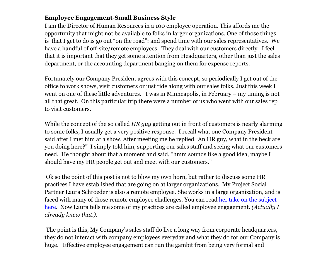## **Employee Engagement-Small Business Style**

I am the Director of Human Resources in a 100 employee operation. This affords me the opportunity that might not be available to folks in larger organizations. One of those things is that I get to do is go out "on the road": and spend time with our sales representatives. We have a handful of off-site/remote employees. They deal with our customers directly. I feel that it is important that they get some attention from Headquarters, other than just the sales department, or the accounting department banging on them for expense reports.

Fortunately our Company President agrees with this concept, so periodically I get out of the office to work shows, visit customers or just ride along with our sales folks. Just this week I went on one of these little adventures. I was in Minneapolis, in February – my timing is not all that great. On this particular trip there were a number of us who went with our sales rep to visit customers.

While the concept of the so called *HR guy* getting out in front of customers is nearly alarming to some folks, I usually get a very positive response. I recall what one Company President said after I met him at a show. After meeting me he replied "An HR guy, what in the heck are you doing here?" I simply told him, supporting our sales staff and seeing what our customers need. He thought about that a moment and said, "hmm sounds like a good idea, maybe I should have my HR people get out and meet with our customers."

Ok so the point of this post is not to blow my own horn, but rather to discuss some HR practices I have established that are going on at larger organizations. My Project Social Partner Laura Schroeder is also a remote employee. She works in a large organization, and is faced with many of those remote employee challenges. You can read [her](http://ls-workgirl.blogspot.com/2011/02/modern-workforce-managing-remote.html) ta[ke](http://ls-workgirl.blogspot.com/2011/02/modern-workforce-managing-remote.html) [on](http://ls-workgirl.blogspot.com/2011/02/modern-workforce-managing-remote.html) the [subje](http://ls-workgirl.blogspot.com/2011/02/modern-workforce-managing-remote.html)c[t](http://ls-workgirl.blogspot.com/2011/02/modern-workforce-managing-remote.html) [here](http://ls-workgirl.blogspot.com/2011/02/modern-workforce-managing-remote.html). Now Laura tells me some of my practices are called employee engagement. *(Actually I already knew that.).*

The point is this, My Company's sales staff do live a long way from corporate headquarters, they do not interact with company employees everyday and what they do for our Company is huge. Effective employee engagement can run the gambit from being very formal and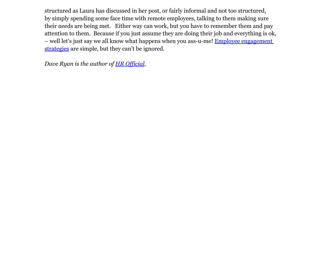structured as Laura has discussed in her post, or fairly informal and not too structured, by simply spending some face time with remote employees, talking to them making sure their needs are being met. Either way can work, but you have to remember them and pay attention to them. Because if you just assume they are doing their job and everything is ok, – well let's just say we all know what happens when you ass-u-me! [Employee](http://www.google.com/url?q=http%3A%2F%2Fhrofficial.com%2F2011%2F01%2Femployee-engagement-in-600-words%2F&sa=D&sntz=1&usg=AFQjCNEDY33e5uHC7VgYgbEztP-qV9KZ-w) engagem[ent](http://www.google.com/url?q=http%3A%2F%2Fhrofficial.com%2F2011%2F01%2Femployee-engagement-in-600-words%2F&sa=D&sntz=1&usg=AFQjCNEDY33e5uHC7VgYgbEztP-qV9KZ-w) [strategies](http://www.google.com/url?q=http%3A%2F%2Fhrofficial.com%2F2011%2F01%2Femployee-engagement-in-600-words%2F&sa=D&sntz=1&usg=AFQjCNEDY33e5uHC7VgYgbEztP-qV9KZ-w) are simple, but they can't be ignored.

*Dave Ryan is the author of [HR](http://www.google.com/url?q=http%3A%2F%2Fhrofficial.com&sa=D&sntz=1&usg=AFQjCNESzfe2ZQacoRFB0jNVxqh8vgg4Fw) Of[ficial.](http://www.google.com/url?q=http%3A%2F%2Fhrofficial.com&sa=D&sntz=1&usg=AFQjCNESzfe2ZQacoRFB0jNVxqh8vgg4Fw)*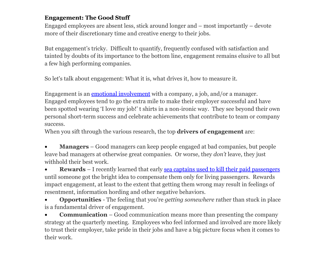## **Engagement: The Good Stuff**

Engaged employees are absent less, stick around longer and – most importantly – devote more of their discretionary time and creative energy to their jobs.

But engagement's tricky. Difficult to quantify, frequently confused with satisfaction and tainted by doubts of its importance to the bottom line, engagement remains elusive to all but a few high performing companies.

So let's talk about engagement: What it is, what drives it, how to measure it.

Engag[e](http://www.google.com/url?q=http%3A%2F%2Fwww.compensationcafe.com%2F2010%2F06%2Fstrings-attached.html&sa=D&sntz=1&usg=AFQjCNH8ewgA3eWn6jMSUweFGs7z9_9idQ)ment is an **[emotional](http://www.google.com/url?q=http%3A%2F%2Fwww.compensationcafe.com%2F2010%2F06%2Fstrings-attached.html&sa=D&sntz=1&usg=AFQjCNH8ewgA3eWn6jMSUweFGs7z9_9idQ) involvement** [with](http://www.google.com/url?q=http%3A%2F%2Fwww.compensationcafe.com%2F2010%2F06%2Fstrings-attached.html&sa=D&sntz=1&usg=AFQjCNH8ewgA3eWn6jMSUweFGs7z9_9idQ) a company, a job, and/or a manager. Engaged employees tend to go the extra mile to make their employer successful and have been spotted wearing 'I love my job!' t shirts in a non-ironic way. They see beyond their own personal short-term success and celebrate achievements that contribute to team or company success.

When you sift through the various research, the top **drivers of engagement** are:

**Managers** – Good managers can keep people engaged at bad companies, but people leave bad managers at otherwise great companies. Or worse, they *don't* leave, they just withhold their best work.

**Rewards** – I recently learned that early [sea](http://www.google.com/url?q=http%3A%2F%2Fwww.npr.org%2Fblogs%2Fmoney%2F2010%2F09%2F09%2F129757852%2Fpop-quiz-how-do-you-stop-sea-captains-from-killing-their-passengers&sa=D&sntz=1&usg=AFQjCNFz8YOa_BPrOLhXxIlujVjHm6s8UA) ca[ptains](http://www.google.com/url?q=http%3A%2F%2Fwww.npr.org%2Fblogs%2Fmoney%2F2010%2F09%2F09%2F129757852%2Fpop-quiz-how-do-you-stop-sea-captains-from-killing-their-passengers&sa=D&sntz=1&usg=AFQjCNFz8YOa_BPrOLhXxIlujVjHm6s8UA) used to kill [their](http://www.google.com/url?q=http%3A%2F%2Fwww.npr.org%2Fblogs%2Fmoney%2F2010%2F09%2F09%2F129757852%2Fpop-quiz-how-do-you-stop-sea-captains-from-killing-their-passengers&sa=D&sntz=1&usg=AFQjCNFz8YOa_BPrOLhXxIlujVjHm6s8UA) paid [pas](http://www.google.com/url?q=http%3A%2F%2Fwww.npr.org%2Fblogs%2Fmoney%2F2010%2F09%2F09%2F129757852%2Fpop-quiz-how-do-you-stop-sea-captains-from-killing-their-passengers&sa=D&sntz=1&usg=AFQjCNFz8YOa_BPrOLhXxIlujVjHm6s8UA)s[enger](http://www.google.com/url?q=http%3A%2F%2Fwww.npr.org%2Fblogs%2Fmoney%2F2010%2F09%2F09%2F129757852%2Fpop-quiz-how-do-you-stop-sea-captains-from-killing-their-passengers&sa=D&sntz=1&usg=AFQjCNFz8YOa_BPrOLhXxIlujVjHm6s8UA)s until someone got the bright idea to compensate them only for living passengers. Rewards impact engagement, at least to the extent that getting them wrong may result in feelings of resentment, information hording and other negative behaviors.

**Opportunities** - The feeling that you're *getting* somewhere rather than stuck in place is a fundamental driver of engagement.

• **Communication** – Good communication means more than presenting the company strategy at the quarterly meeting. Employees who feel informed and involved are more likely to trust their employer, take pride in their jobs and have a big picture focus when it comes to their work.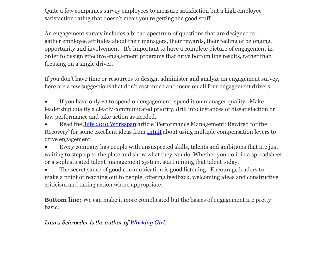Quite a few companies survey employees to measure satisfaction but a high employee satisfaction rating that doesn't mean you're getting the good stuff.

An engagement survey includes a broad spectrum of questions that are designed to gather employee attitudes about their managers, their rewards, their feeling of belonging, opportunity and involvement. It's important to have a complete picture of engagement in order to design effective engagement programs that drive bottom line results, rather than focusing on a single driver.

If you don't have time or resources to design, administer and analyze an engagement survey, here are a few suggestions that don't cost much and focus on all four engagement drivers:

If you have only \$1 to spend on engagement, spend it on manager quality. Make leadership quality a clearly communicated priority, drill into instances of dissatisfaction or low performance and take action as needed.

Read the [July](http://www.google.com/url?q=http%3A%2F%2Fwww.worldatwork.org%2Fwaw%2Fworkspan%2Fhtml%2Fworkspan-july2010.html&sa=D&sntz=1&usg=AFQjCNGysaK8-uWGWos4tYrm_AGoGcD71g) 2010 [Wor](http://www.google.com/url?q=http%3A%2F%2Fwww.worldatwork.org%2Fwaw%2Fworkspan%2Fhtml%2Fworkspan-july2010.html&sa=D&sntz=1&usg=AFQjCNGysaK8-uWGWos4tYrm_AGoGcD71g)kspan [article](http://www.google.com/url?q=http%3A%2F%2Fwww.worldatwork.org%2Fwaw%2Fworkspan%2Fhtml%2Fworkspan-july2010.html&sa=D&sntz=1&usg=AFQjCNGysaK8-uWGWos4tYrm_AGoGcD71g) 'Performance Management: Rewired for the Recovery' for some excellent ideas from [Intuit](http://www.google.com/url?q=http%3A%2F%2Fabout.intuit.com%2F&sa=D&sntz=1&usg=AFQjCNHsgvb0QKsJoM4MDeIIqgbha_EV5Q) about using multiple compensation levers to drive engagement.

Every company has people with unsuspected skills, talents and ambitions that are just waiting to step up to the plate and show what they can do. Whether you do it in a spreadsheet or a sophisticated talent management system, start mining that talent today.

• The secret sauce of good communication is good listening. Encourage leaders to make a point of reaching out to people, offering feedback, welcoming ideas and constructive criticism and taking action where appropriate.

**Bottom line:** We can make it more complicated but the basics of engagement are pretty basic.

*Laura Schroeder is the author of [Working](http://ls-workgirl.blogspot.com/) Girl.*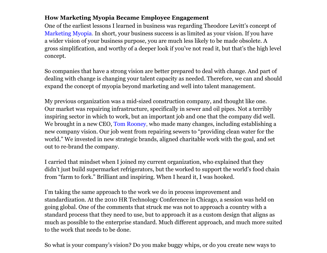## **How Marketing Myopia Became Employee Engagement**

One of the earliest lessons I learned in business was regarding Theodore Levitt's concept of [Marketing](http://www.google.com/url?q=http%3A%2F%2Fen.wikipedia.org%2Fwiki%2FMarketing_myopia&sa=D&sntz=1&usg=AFQjCNHOKeT17wrtvCrAbLfAKZAypWux0g) Myopia. I[n](http://www.google.com/url?q=http%3A%2F%2Fen.wikipedia.org%2Fwiki%2FMarketing_myopia&sa=D&sntz=1&usg=AFQjCNHOKeT17wrtvCrAbLfAKZAypWux0g) [short,](http://www.google.com/url?q=http%3A%2F%2Fen.wikipedia.org%2Fwiki%2FMarketing_myopia&sa=D&sntz=1&usg=AFQjCNHOKeT17wrtvCrAbLfAKZAypWux0g) your business success is as limited as your vision. If you have a wider vision of your business purpose, you are much less likely to be made obsolete. A gross simplification, and worthy of a deeper look if you've not read it, but that's the high level concept.

So companies that have a strong vision are better prepared to deal with change. And part of dealing with change is changing your talent capacity as needed. Therefore, we can and should expand the concept of myopia beyond marketing and well into talent management.

My previous organization was a mid-sized construction company, and thought like one. Our market was repairing infrastructure, specifically in sewer and oil pipes. Not a terribly inspiring sector in which to work, but an important job and one that the company did well. We brought in a new CEO, [Tom](http://www.google.com/url?q=http%3A%2F%2Fwww.linkedin.com%2Fin%2Ftsrooney&sa=D&sntz=1&usg=AFQjCNE435rAbukfqbqRF3rJtmirg1JmuQ) Roo[n](http://www.google.com/url?q=http%3A%2F%2Fwww.linkedin.com%2Fin%2Ftsrooney&sa=D&sntz=1&usg=AFQjCNE435rAbukfqbqRF3rJtmirg1JmuQ)ey, [who](http://www.google.com/url?q=http%3A%2F%2Fwww.linkedin.com%2Fin%2Ftsrooney&sa=D&sntz=1&usg=AFQjCNE435rAbukfqbqRF3rJtmirg1JmuQ) made many changes, including establishing a new company vision. Our job went from repairing sewers to "providing clean water for the world." We invested in new strategic brands, aligned charitable work with the goal, and set out to re-brand the company.

I carried that mindset when I joined my current organization, who explained that they didn't just build supermarket refrigerators, but the worked to support the world's food chain from "farm to fork." Brilliant and inspiring. When I heard it, I was hooked.

I'm taking the same approach to the work we do in process improvement and standardization. At the 2010 HR Technology Conference in Chicago, a session was held on going global. One of the comments that struck me was not to approach a country with a standard process that they need to use, but to approach it as a custom design that aligns as much as possible to the enterprise standard. Much different approach, and much more suited to the work that needs to be done.

So what is your company's vision? Do you make buggy whips, or do you create new ways to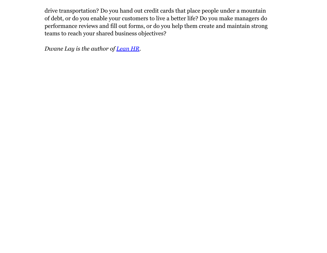drive transportation? Do you hand out credit cards that place people under a mountain of debt, or do you enable your customers to live a better life? Do you make managers do performance reviews and fill out forms, or do you help them create and maintain strong teams to reach your shared business objectives?

*Dwane Lay is the author of [Lean](http://www.google.com/url?q=http%3A%2F%2Fleanhrblog.com&sa=D&sntz=1&usg=AFQjCNHyLqRniJTRWzDnlrmJpzTFIfqC7w) HR.*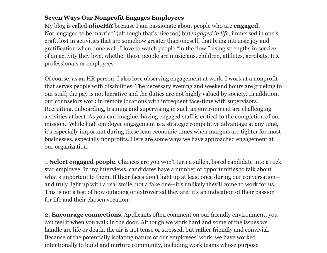## **Seven Ways Our Nonprofit Engages Employees**

My blog is called *aliveHR* because I am passionate about people who are **engaged.** Not 'engaged to be married' (although that's nice too) but*engaged in life*, immersed in one's craft, lost in activities that are somehow greater than oneself, that bring intrinsic joy and gratification when done well. I love to watch people "in the flow," using strengths in service of an activity they love, whether those people are musicians, children, athletes, acrobats, HR professionals or employees.

Of course, as an HR person, I also love observing engagement at work. I work at a nonprofit that serves people with disabilities. The necessary evening and weekend hours are grueling to our staff; the pay is not lucrative and the duties are not highly valued by society. In addition, our counselors work in remote locations with infrequent face-time with supervisors. Recruiting, onboarding, training and supervising in such an environment are challenging activities at best. As you can imagine, having engaged staff is critical to the completion of our mission. While high employee engagement is a strategic competitive advantage at any time, it's especially important during these lean economic times when margins are tighter for most businesses, especially nonprofits. Here are some ways we have approached engagement at our organization:

1. **Select engaged people**. Chances are you won't turn a sullen, bored candidate into a rock star employee. In my interviews, candidates have a number of opportunities to talk about what's important to them. If their faces don't light up at least once during our conversation and truly light up with a real smile, not a fake one—it's unlikely they'll come to work for us. This is not a test of how outgoing or extroverted they are; it's an indication of their passion for life and their chosen vocation.

**2. Encourage connections**. Applicants often comment on our friendly environment; you can feel it when you walk in the door. Although we work hard and some of the issues we handle are life or death, the air is not tense or stressed, but rather friendly and convivial. Because of the potentially isolating nature of our employees' work, we have worked intentionally to build and nurture community, including work teams whose purpose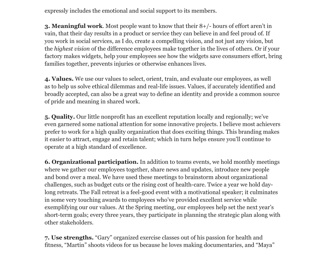expressly includes the emotional and social support to its members.

**3. Meaningful work**. Most people want to know that their 8+/- hours of effort aren't in vain, that their day results in a product or service they can believe in and feel proud of. If you work in social services, as I do, create a compelling vision, and not just any vision, but the *highest vision* of the difference employees make together in the lives of others. Or if your factory makes widgets, help your employees see how the widgets save consumers effort, bring families together, prevents injuries or otherwise enhances lives.

**4. Values.** We use our values to select, orient, train, and evaluate our employees, as well as to help us solve ethical dilemmas and real-life issues. Values, if accurately identified and broadly accepted, can also be a great way to define an identity and provide a common source of pride and meaning in shared work.

**5. Quality.** Our little nonprofit has an excellent reputation locally and regionally; we've even garnered some national attention for some innovative projects. I believe most achievers prefer to work for a high quality organization that does exciting things. This branding makes it easier to attract, engage and retain talent; which in turn helps ensure you'll continue to operate at a high standard of excellence.

**6. Organizational participation.** In addition to teams events, we hold monthly meetings where we gather our employees together, share news and updates, introduce new people and bond over a meal. We have used these meetings to brainstorm about organizational challenges, such as budget cuts or the rising cost of health-care. Twice a year we hold daylong retreats. The Fall retreat is a feel-good event with a motivational speaker; it culminates in some very touching awards to employees who've provided excellent service while exemplifying our our values. At the Spring meeting, our employees help set the next year's short-term goals; every three years, they participate in planning the strategic plan along with other stakeholders.

**7. Use strengths.** "Gary" organized exercise classes out of his passion for health and fitness, "Martin" shoots videos for us because he loves making documentaries, and "Maya"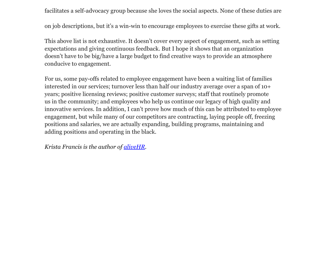facilitates a self-advocacy group because she loves the social aspects. None of these duties are

on job descriptions, but it's a win-win to encourage employees to exercise these gifts at work.

This above list is not exhaustive. It doesn't cover every aspect of engagement, such as setting expectations and giving continuous feedback. But I hope it shows that an organization doesn't have to be big/have a large budget to find creative ways to provide an atmosphere conducive to engagement.

For us, some pay-offs related to employee engagement have been a waiting list of families interested in our services; turnover less than half our industry average over a span of 10+ years; positive licensing reviews; positive customer surveys; staff that routinely promote us in the community; and employees who help us continue our legacy of high quality and innovative services. In addition, I can't prove how much of this can be attributed to employee engagement, but while many of our competitors are contracting, laying people off, freezing positions and salaries, we are actually expanding, building programs, maintaining and adding positions and operating in the black.

*Krista Francis is the author of [aliveHR](http://www.google.com/url?q=http%3A%2F%2Fwww.kamaletalent.com&sa=D&sntz=1&usg=AFQjCNGDiJIRcoB3mtyd3ziNOSOzMxuEEw).*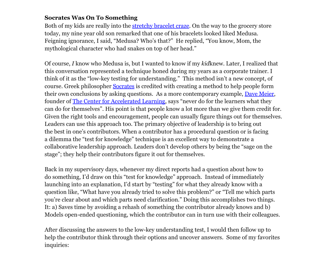#### **Socrates Was On To Something**

Both of my kids are really into the [stretchy](http://www.google.com/url?q=http%3A%2F%2Fwww.nytimes.com%2F2010%2F07%2F01%2Ffashion%2F01silly.html&sa=D&sntz=1&usg=AFQjCNHtSNUk8vA5IaF0PupbDImTutZm2w) bracele[t](http://www.google.com/url?q=http%3A%2F%2Fwww.nytimes.com%2F2010%2F07%2F01%2Ffashion%2F01silly.html&sa=D&sntz=1&usg=AFQjCNHtSNUk8vA5IaF0PupbDImTutZm2w) [craze.](http://www.google.com/url?q=http%3A%2F%2Fwww.nytimes.com%2F2010%2F07%2F01%2Ffashion%2F01silly.html&sa=D&sntz=1&usg=AFQjCNHtSNUk8vA5IaF0PupbDImTutZm2w) On the w[ay](http://www.google.com/url?q=http%3A%2F%2Fwww.nytimes.com%2F2010%2F07%2F01%2Ffashion%2F01silly.html&sa=D&sntz=1&usg=AFQjCNHtSNUk8vA5IaF0PupbDImTutZm2w) [to](http://www.google.com/url?q=http%3A%2F%2Fwww.nytimes.com%2F2010%2F07%2F01%2Ffashion%2F01silly.html&sa=D&sntz=1&usg=AFQjCNHtSNUk8vA5IaF0PupbDImTutZm2w) the grocery store today, my nine year old son remarked that one of his bracelets looked liked Medusa. Feigning ignorance, I said, "Medusa? Who's that?" He replied, "You know, Mom, the mythological character who had snakes on top of her head."

Of course, *I* know who Medusa is, but I wanted to know if my *kid*knew. Later, I realized that this conversation represented a technique honed during my years as a corporate trainer. I think of it as the "low-key testing for understanding." This method isn't a new concept, of course. Greek philosopher [Socrates](http://www.google.com/url?q=http%3A%2F%2Fen.wikipedia.org%2Fwiki%2FSocratic_method%23See_also&sa=D&sntz=1&usg=AFQjCNEqtlFdRh2jY16BB9XlRk6V6IwCBw) is credited with creating a method to help people form their own conclusions by asking questions. As a more contemporary example, [Dave](http://www.google.com/url?q=http%3A%2F%2Fwww.alcenter.com%2Fdave.php&sa=D&sntz=1&usg=AFQjCNGWizI4oRiR8hX0KfWsvnPA74CN0w) Mei[er,](http://www.google.com/url?q=http%3A%2F%2Fwww.alcenter.com%2Fdave.php&sa=D&sntz=1&usg=AFQjCNGWizI4oRiR8hX0KfWsvnPA74CN0w) founder of [The](http://www.google.com/url?q=http%3A%2F%2Fwww.alcenter.com%2F&sa=D&sntz=1&usg=AFQjCNHvEE_szu-0z9hlldAZBB8MMBcSCQ) Ce[n](http://www.google.com/url?q=http%3A%2F%2Fwww.alcenter.com%2F&sa=D&sntz=1&usg=AFQjCNHvEE_szu-0z9hlldAZBB8MMBcSCQ)ter [for](http://www.google.com/url?q=http%3A%2F%2Fwww.alcenter.com%2F&sa=D&sntz=1&usg=AFQjCNHvEE_szu-0z9hlldAZBB8MMBcSCQ) Accele[rated](http://www.google.com/url?q=http%3A%2F%2Fwww.alcenter.com%2F&sa=D&sntz=1&usg=AFQjCNHvEE_szu-0z9hlldAZBB8MMBcSCQ) L[earning,](http://www.google.com/url?q=http%3A%2F%2Fwww.alcenter.com%2F&sa=D&sntz=1&usg=AFQjCNHvEE_szu-0z9hlldAZBB8MMBcSCQ) says "never do f[o](http://www.google.com/url?q=http%3A%2F%2Fwww.alcenter.com%2F&sa=D&sntz=1&usg=AFQjCNHvEE_szu-0z9hlldAZBB8MMBcSCQ)r the [learn](http://www.google.com/url?q=http%3A%2F%2Fwww.alcenter.com%2F&sa=D&sntz=1&usg=AFQjCNHvEE_szu-0z9hlldAZBB8MMBcSCQ)ers what they can do for themselves". His point is that people know a lot more than we give them credit for. Given the right tools and encouragement, people can usually figure things out for themselves. Leaders can use this approach too. The primary objective of leadership is to bring out the best in one's contributors. When a contributor has a procedural question or is facing a dilemma the "test for knowledge" technique is an excellent way to demonstrate a collaborative leadership approach. Leaders don't develop others by being the "sage on the stage"; they help their contributors figure it out for themselves.

Back in my supervisory days, whenever my direct reports had a question about how to do something, I'd draw on this "test for knowledge" approach. Instead of immediately launching into an explanation, I'd start by "testing" for what they already know with a question like, "What have you already tried to solve this problem?" or "Tell me which parts you're clear about and which parts need clarification." Doing this accomplishes two things. It: a) Saves time by avoiding a rehash of something the contributor already knows and b) Models open-ended questioning, which the contributor can in turn use with their colleagues.

After discussing the answers to the low-key understanding test, I would then follow up to help the contributor think through their options and uncover answers. Some of my favorites inquiries: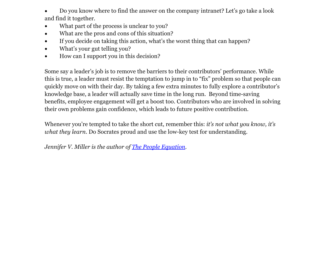Do you know where to find the answer on the company intranet? Let's go take a look and find it together.

- What part of the process is unclear to you?
- What are the pros and cons of this situation?
- If you decide on taking this action, what's the worst thing that can happen?
- What's your gut telling you?
- How can I support you in this decision?

Some say a leader's job is to remove the barriers to their contributors' performance. While this is true, a leader must resist the temptation to jump in to "fix" problem so that people can quickly move on with their day. By taking a few extra minutes to fully explore a contributor's knowledge base, a leader will actually save time in the long run. Beyond time-saving benefits, employee engagement will get a boost too. Contributors who are involved in solving their own problems gain confidence, which leads to future positive contribution.

Whenever you're tempted to take the short cut, remember this: *it's not what you know, it's what they learn*. Do Socrates proud and use the low-key test for understanding.

*Jennifer V. Miller is the author of [The](http://www.google.com/url?q=http%3A%2F%2Fpeople-equation.com&sa=D&sntz=1&usg=AFQjCNGGWn_M4u4XiOGvRtQ9sjmGR9pjMA) Pe[op](http://www.google.com/url?q=http%3A%2F%2Fpeople-equation.com&sa=D&sntz=1&usg=AFQjCNGGWn_M4u4XiOGvRtQ9sjmGR9pjMA)le [Equ](http://www.google.com/url?q=http%3A%2F%2Fpeople-equation.com&sa=D&sntz=1&usg=AFQjCNGGWn_M4u4XiOGvRtQ9sjmGR9pjMA)ation.*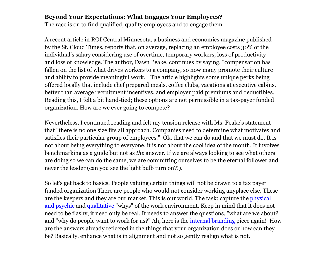#### **Beyond Your Expectations: What Engages Your Employees?**

The race is on to find qualified, quality employees and to engage them.

A recent article in ROI Central Minnesota, a business and economics magazine published by the St. Cloud Times, reports that, on average, replacing an employee costs 30% of the individual's salary considering use of overtime, temporary workers, loss of productivity and loss of knowledge. The author, Dawn Peake, continues by saying, "compensation has fallen on the list of what drives workers to a company, so now many promote their culture and ability to provide meaningful work." The article highlights some unique perks being offered locally that include chef prepared meals, coffee clubs, vacations at executive cabins, better than average recruitment incentives, and employer paid premiums and deductibles. Reading this, I felt a bit hand-tied; these options are not permissible in a tax-payer funded organization. How are we ever going to compete?

Nevertheless, I continued reading and felt my tension release with Ms. Peake's statement that "there is no one size fits all approach. Companies need to determine what motivates and satisfies their particular group of employees." Ok, that we can do and that we must do. It is not about being everything to everyone, it is not about the cool idea of the month. It involves benchmarking as a guide but not as *the* answer. If we are always looking to see what others are doing so we can do the same, we are committing ourselves to be the eternal follower and never the leader (can you see the light bulb turn on?!).

So let's get back to basics. People valuing certain things will not be drawn to a tax payer funded organization There are people who would not consider working anyplace else. These are the keepers and they are our market. This is our world. The task: capture the [physical](http://www.google.com/url?q=http%3A%2F%2Fcompforce.typepad.com%2Fcompensation_force%2F2007%2F07%2Fwork-environmen.html&sa=D&sntz=1&usg=AFQjCNHKqEihet9CXkHaUGWdRp6IW74kWw) [and](http://www.google.com/url?q=http%3A%2F%2Fcompforce.typepad.com%2Fcompensation_force%2F2007%2F07%2Fwork-environmen.html&sa=D&sntz=1&usg=AFQjCNHKqEihet9CXkHaUGWdRp6IW74kWw) ps[yc](http://www.google.com/url?q=http%3A%2F%2Fcompforce.typepad.com%2Fcompensation_force%2F2007%2F07%2Fwork-environmen.html&sa=D&sntz=1&usg=AFQjCNHKqEihet9CXkHaUGWdRp6IW74kWw)hic [and](http://www.google.com/url?q=http%3A%2F%2Fcompforce.typepad.com%2Fcompensation_force%2F2007%2F07%2Fwork-environmen.html&sa=D&sntz=1&usg=AFQjCNHKqEihet9CXkHaUGWdRp6IW74kWw) [qualitative](http://www.google.com/url?q=http%3A%2F%2Fcompforce.typepad.com%2Fcompensation_force%2F2007%2F07%2Fwork-environmen.html&sa=D&sntz=1&usg=AFQjCNHKqEihet9CXkHaUGWdRp6IW74kWw) "whys" of the work environment. Keep in mind that it does not need to be flashy, it need only be real. It needs to answer the questions, "what are we about?" and "why do people want to work for us?" Ah, here is the [internal](http://www.google.com/url?q=http%3A%2F%2Fwww.lisarosendahl.com%2Fjournal%2Fgolden-nuggets-from-the-strip.html&sa=D&sntz=1&usg=AFQjCNEuPjaGMT8ZfzMzCuknRtUBKDZIOA) brandi[ng](http://www.google.com/url?q=http%3A%2F%2Fwww.lisarosendahl.com%2Fjournal%2Fgolden-nuggets-from-the-strip.html&sa=D&sntz=1&usg=AFQjCNEuPjaGMT8ZfzMzCuknRtUBKDZIOA) [piece](http://www.google.com/url?q=http%3A%2F%2Fwww.lisarosendahl.com%2Fjournal%2Fgolden-nuggets-from-the-strip.html&sa=D&sntz=1&usg=AFQjCNEuPjaGMT8ZfzMzCuknRtUBKDZIOA) again! How are the answers already reflected in the things that your organization does or how can they be? Basically, enhance what is in alignment and not so gently realign what is not.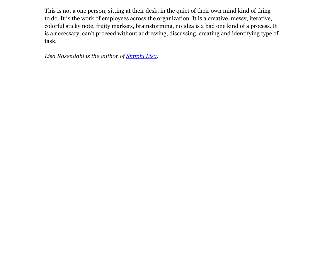This is not a one person, sitting at their desk, in the quiet of their own mind kind of thing to do. It is the work of employees across the organization. It is a creative, messy, iterative, colorful sticky note, fruity markers, brainstorming, no idea is a bad one kind of a process. It is a necessary, can't proceed without addressing, discussing, creating and identifying type of task.

*Lisa Rosendahl is the author of [Simply](http://www.google.com/url?q=http%3A%2F%2Flisarosendahl.com&sa=D&sntz=1&usg=AFQjCNGTf63jPZCZF2dxn3O03YD5I-FmaA) Lisa.*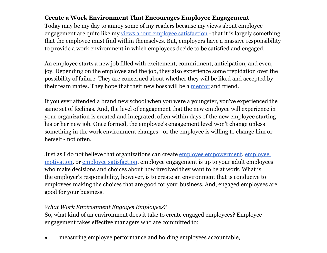## **Create a Work Environment That Encourages Employee Engagement**

Today may be my day to annoy some of my readers because my views about employee engagement are quite like my [views](http://www.google.com/url?q=http%3A%2F%2Fhumanresources.about.com%2Fb%2F2009%2F04%2F30%2Femployee_satisfaction.htm%23gB3&sa=D&sntz=1&usg=AFQjCNFPwiPs4c2mKcyDokL0_-OWGSMiEA) abo[ut](http://www.google.com/url?q=http%3A%2F%2Fhumanresources.about.com%2Fb%2F2009%2F04%2F30%2Femployee_satisfaction.htm%23gB3&sa=D&sntz=1&usg=AFQjCNFPwiPs4c2mKcyDokL0_-OWGSMiEA) [emplo](http://www.google.com/url?q=http%3A%2F%2Fhumanresources.about.com%2Fb%2F2009%2F04%2F30%2Femployee_satisfaction.htm%23gB3&sa=D&sntz=1&usg=AFQjCNFPwiPs4c2mKcyDokL0_-OWGSMiEA)yee s[atisfaction](http://www.google.com/url?q=http%3A%2F%2Fhumanresources.about.com%2Fb%2F2009%2F04%2F30%2Femployee_satisfaction.htm%23gB3&sa=D&sntz=1&usg=AFQjCNFPwiPs4c2mKcyDokL0_-OWGSMiEA) - that it i[s](http://www.google.com/url?q=http%3A%2F%2Fhumanresources.about.com%2Fb%2F2009%2F04%2F30%2Femployee_satisfaction.htm%23gB3&sa=D&sntz=1&usg=AFQjCNFPwiPs4c2mKcyDokL0_-OWGSMiEA) [largely](http://www.google.com/url?q=http%3A%2F%2Fhumanresources.about.com%2Fb%2F2009%2F04%2F30%2Femployee_satisfaction.htm%23gB3&sa=D&sntz=1&usg=AFQjCNFPwiPs4c2mKcyDokL0_-OWGSMiEA) something that the employee must find within themselves. But, employers have a massive responsibility to provide a work environment in which employees decide to be satisfied and engaged.

An employee starts a new job filled with excitement, commitment, anticipation, and even, joy. Depending on the employee and the job, they also experience some trepidation over the possibility of failure. They are concerned about whether they will be liked and accepted by their team mates. They hope that their new boss will be a [mentor](http://www.google.com/url?q=http%3A%2F%2Fhumanresources.about.com%2Fb%2F2011%2F01%2F08%2Fgot-a-mentor.htm&sa=D&sntz=1&usg=AFQjCNFHqpxs5Mb6jSrwwEpX721hD9lm9Q) and friend.

If you ever attended a brand new school when you were a youngster, you've experienced the same set of feelings. And, the level of engagement that the new employee will experience in your organization is created and integrated, often within days of the new employee starting his or her new job. Once formed, the employee's engagement level won't change unless something in the work environment changes - or the employee is willing to change him or herself - not often.

Just as I do not believe that organizations can create [employee](http://www.google.com/url?q=http%3A%2F%2Fhumanresources.about.com%2Fod%2Fmanagementandleadership%2Ftp%2Fempowerment.htm&sa=D&sntz=1&usg=AFQjCNHzI8fetYweeg5kXezjrJoWdpDGtg) empowe[rm](http://www.google.com/url?q=http%3A%2F%2Fhumanresources.about.com%2Fod%2Fmanagementandleadership%2Ftp%2Fempowerment.htm&sa=D&sntz=1&usg=AFQjCNHzI8fetYweeg5kXezjrJoWdpDGtg)ent, [employe](http://www.google.com/url?q=http%3A%2F%2Fhumanresources.about.com%2Fod%2Fmanagementandleadership%2Ftp%2Fempowerment.htm&sa=D&sntz=1&usg=AFQjCNHzI8fetYweeg5kXezjrJoWdpDGtg)[e](http://www.google.com/url?q=http%3A%2F%2Fhumanresources.about.com%2Fod%2Fmotivationsucces3%2Ftp%2Fmotivating-employees.htm&sa=D&sntz=1&usg=AFQjCNFiUDNhdRT0SUblQw6GVylab5yoQg) [motivation,](http://www.google.com/url?q=http%3A%2F%2Fhumanresources.about.com%2Fod%2Fmotivationsucces3%2Ftp%2Fmotivating-employees.htm&sa=D&sntz=1&usg=AFQjCNFiUDNhdRT0SUblQw6GVylab5yoQg) or [employee](http://www.google.com/url?q=http%3A%2F%2Fhumanresources.about.com%2Fod%2Femployeesurvey1%2Fg%2Femployee_satisfy.htm&sa=D&sntz=1&usg=AFQjCNHfOzLH7kDEUDWftvqtCnee1DAjXg) satisfacti[o](http://www.google.com/url?q=http%3A%2F%2Fhumanresources.about.com%2Fod%2Femployeesurvey1%2Fg%2Femployee_satisfy.htm&sa=D&sntz=1&usg=AFQjCNHfOzLH7kDEUDWftvqtCnee1DAjXg)n, [employee](http://www.google.com/url?q=http%3A%2F%2Fhumanresources.about.com%2Fod%2Femployeesurvey1%2Fg%2Femployee_satisfy.htm&sa=D&sntz=1&usg=AFQjCNHfOzLH7kDEUDWftvqtCnee1DAjXg) engagement is up to your adult employees who make decisions and choices about how involved they want to be at work. What is the employer's responsibility, however, is to create an environment that is conducive to employees making the choices that are good for your business. And, engaged employees are good for your business.

## *What Work Environment Engages Employees?*

So, what kind of an environment does it take to create engaged employees? Employee engagement takes effective managers who are committed to:

• measuring employee performance and holding employees accountable,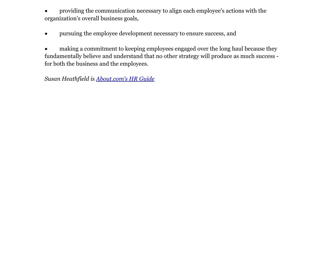providing the communication necessary to align each employee's actions with the organization's overall business goals,

• pursuing the employee development necessary to ensure success, and

making a commitment to keeping employees engaged over the long haul because they fundamentally believe and understand that no other strategy will produce as much success for both the business and the employees.

*Susan Heathfield is [About](http://www.google.com/url?q=http%3A%2F%2Fhumanresources.about.com%2F&sa=D&sntz=1&usg=AFQjCNFE9V9LMAcfjh0Of6QhDidTmq3lRQ).com'[s](http://www.google.com/url?q=http%3A%2F%2Fhumanresources.about.com%2F&sa=D&sntz=1&usg=AFQjCNFE9V9LMAcfjh0Of6QhDidTmq3lRQ) [HR](http://www.google.com/url?q=http%3A%2F%2Fhumanresources.about.com%2F&sa=D&sntz=1&usg=AFQjCNFE9V9LMAcfjh0Of6QhDidTmq3lRQ) Guid[e](http://www.google.com/url?q=http%3A%2F%2Fhumanresources.about.com%2F&sa=D&sntz=1&usg=AFQjCNFE9V9LMAcfjh0Of6QhDidTmq3lRQ)*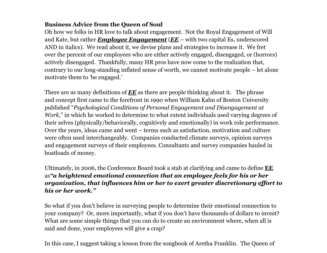## **Business Advice from the Queen of Soul**

Oh how we folks in HR love to talk about engagement. Not the Royal Engagement of Will and Kate, but rather *Employee Engagement* (*EE* – with two capital Es, underscored AND in italics). We read about it, we devise plans and strategies to increase it. We fret over the percent of our employees who are either actively engaged, disengaged, or (horrors) actively disengaged. Thankfully, many HR pros have now come to the realization that, contrary to our long-standing inflated sense of worth, we cannot motivate people – let alone motivate them to 'be engaged.'

There are as many definitions of *EE* as there are people thinking about it. The phrase and concept first came to the forefront in 1990 when William Kahn of Boston University published "*Psychological Conditions of Personal Engagement and Disengagement at Work*," in which he worked to determine to what extent individuals used varying degrees of their selves (physically/behaviorally, cognitively and emotionally) in work role performance. Over the years, ideas came and went – terms such as satisfaction, motivation and culture were often used interchangeably. Companies conducted climate surveys, opinion surveys and engagement surveys of their employees. Consultants and survey companies hauled in boatloads of money.

Ultimately, in 2006, the Conference Board took a stab at clarifying and came to define **EE** as*"a heightened emotional connection that an employee feels for his or her organization, that influences him or her to exert greater discretionary effort to his or her work."*

So what if you don't believe in surveying people to determine their emotional connection to your company? Or, more importantly, what if you don't have thousands of dollars to invest? What are some simple things that you can do to create an environment where, when all is said and done, your employees will give a crap?

In this case, I suggest taking a lesson from the songbook of Aretha Franklin. The Queen of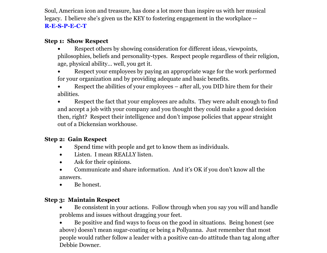Soul, American icon and treasure, has done a lot more than inspire us with her musical legacy. I believe she's given us the KEY to fostering engagement in the workplace -- **[R](http://www.youtube.com/watch?v=6FOUqQt3Kg0)-[E-S-P-E-C-T](http://www.youtube.com/watch?v=6FOUqQt3Kg0)**

## **Step 1: Show Respect**

- Respect others by showing consideration for different ideas, viewpoints, philosophies, beliefs and personality-types. Respect people regardless of their religion, age, physical ability… well, you get it.
- Respect your employees by paying an appropriate wage for the work performed for your organization and by providing adequate and basic benefits.
- Respect the abilities of your employees after all, you DID hire them for their abilities.
- Respect the fact that your employees are adults. They were adult enough to find and accept a job with your company and you thought they could make a good decision then, right? Respect their intelligence and don't impose policies that appear straight out of a Dickensian workhouse.

## **Step 2: Gain Respect**

- Spend time with people and get to know them as individuals.
- Listen. I mean REALLY listen.
- Ask for their opinions.
- Communicate and share information. And it's OK if you don't know all the answers.
- Be honest.

## **Step 3: Maintain Respect**

- Be consistent in your actions. Follow through when you say you will and handle problems and issues without dragging your feet.
- Be positive and find ways to focus on the good in situations. Being honest (see above) doesn't mean sugar-coating or being a Pollyanna. Just remember that most people would rather follow a leader with a positive can-do attitude than tag along after Debbie Downer.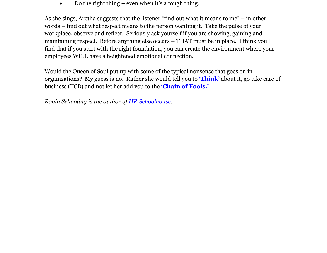Do the right thing – even when it's a tough thing.

As she sings, Aretha suggests that the listener "find out what it means to me" – in other words – find out what respect means to the person wanting it. Take the pulse of your workplace, observe and reflect. Seriously ask yourself if you are showing, gaining and maintaining respect. Before anything else occurs – THAT must be in place. I think you'll find that if you start with the right foundation, you can create the environment where your employees WILL have a heightened emotional connection.

Would the Queen of Soul put up with some of the typical nonsense that goes on in organizations? My guess is no. Rather she would tell you to **['Think'](http://www.youtube.com/watch?v=wc0bmBRyxK4)** about [i](http://www.youtube.com/watch?v=wc0bmBRyxK4)t, go take care of business (TCB) and not let her add you to the **['Chain](http://www.youtube.com/watch?v=StScwYJiImQ&feature=related) of Fo[ols.](http://www.youtube.com/watch?v=StScwYJiImQ&feature=related)'**

*Robin Schooling is the author of [HR](http://www.google.com/url?q=http%3A%2F%2Fhrschoolhouse.wordpress.com&sa=D&sntz=1&usg=AFQjCNF13hOhO5BTtFuQD9zRkGWZfeYwfg) Sc[hoolhouse.](http://www.google.com/url?q=http%3A%2F%2Fhrschoolhouse.wordpress.com&sa=D&sntz=1&usg=AFQjCNF13hOhO5BTtFuQD9zRkGWZfeYwfg)*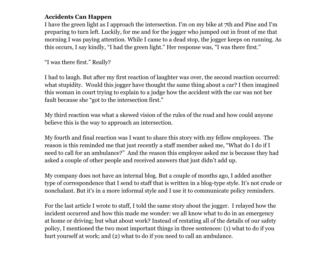## **Accidents Can Happen**

I have the green light as I approach the intersection. I'm on my bike at 7th and Pine and I'm preparing to turn left. Luckily, for me and for the jogger who jumped out in front of me that morning I was paying attention. While I came to a dead stop, the jogger keeps on running. As this occurs, I say kindly, "I had the green light." Her response was, "I was there first."

"I was there first." Really?

I had to laugh. But after my first reaction of laughter was over, the second reaction occurred: what stupidity. Would this jogger have thought the same thing about a car? I then imagined this woman in court trying to explain to a judge how the accident with the car was not her fault because she "got to the intersection first."

My third reaction was what a skewed vision of the rules of the road and how could anyone believe this is the way to approach an intersection.

My fourth and final reaction was I want to share this story with my fellow employees. The reason is this reminded me that just recently a staff member asked me, "What do I do if I need to call for an ambulance?" And the reason this employee asked me is because they had asked a couple of other people and received answers that just didn't add up.

My company does not have an internal blog. But a couple of months ago, I added another type of correspondence that I send to staff that is written in a blog-type style. It's not crude or nonchalant. But it's in a more informal style and I use it to communicate policy reminders.

For the last article I wrote to staff, I told the same story about the jogger. I relayed how the incident occurred and how this made me wonder: we all know what to do in an emergency at home or driving; but what about work? Instead of restating all of the details of our safety policy, I mentioned the two most important things in three sentences: (1) what to do if you hurt yourself at work; and (2) what to do if you need to call an ambulance.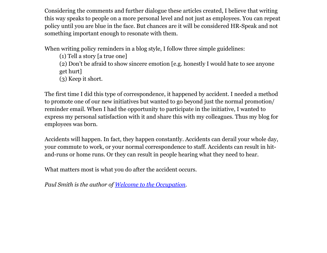Considering the comments and further dialogue these articles created, I believe that writing this way speaks to people on a more personal level and not just as employees. You can repeat policy until you are blue in the face. But chances are it will be considered HR-Speak and not something important enough to resonate with them.

When writing policy reminders in a blog style, I follow three simple guidelines:

(1) Tell a story [a true one] (2) Don't be afraid to show sincere emotion [e.g. honestly I would hate to see anyone get hurt] (3) Keep it short.

The first time I did this type of correspondence, it happened by accident. I needed a method to promote one of our new initiatives but wanted to go beyond just the normal promotion/ reminder email. When I had the opportunity to participate in the initiative, I wanted to express my personal satisfaction with it and share this with my colleagues. Thus my blog for employees was born.

Accidents will happen. In fact, they happen constantly. Accidents can derail your whole day, your commute to work, or your normal correspondence to staff. Accidents can result in hitand-runs or home runs. Or they can result in people hearing what they need to hear.

What matters most is what you do after the accident occurs.

*Paul Smith is the author of [Welcome](http://www.google.com/url?q=http%3A%2F%2Fwelcometotheoccupation.com&sa=D&sntz=1&usg=AFQjCNEamFeGKEbRIZH_yCkk1Tuu6m0scw) to the O[ccupation.](http://www.google.com/url?q=http%3A%2F%2Fwelcometotheoccupation.com&sa=D&sntz=1&usg=AFQjCNEamFeGKEbRIZH_yCkk1Tuu6m0scw)*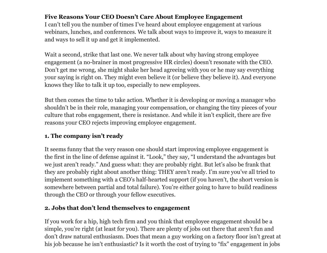## **Five Reasons Your CEO Doesn't Care About Employee Engagement**

I can't tell you the number of times I've heard about employee engagement at various webinars, lunches, and conferences. We talk about ways to improve it, ways to measure it and ways to sell it up and get it implemented.

Wait a second, strike that last one. We never talk about why having strong employee engagement (a no-brainer in most progressive HR circles) doesn't resonate with the CEO. Don't get me wrong, she might shake her head agreeing with you or he may say everything your saying is right on. They might even believe it (or believe they believe it). And everyone knows they like to talk it up too, especially to new employees.

But then comes the time to take action. Whether it is developing or moving a manager who shouldn't be in their role, managing your compensation, or changing the tiny pieces of your culture that robs engagement, there is resistance. And while it isn't explicit, there are five reasons your CEO rejects improving employee engagement.

## **1. The company isn't ready**

It seems funny that the very reason one should start improving employee engagement is the first in the line of defense against it. "Look," they say, "I understand the advantages but we just aren't ready." And guess what: they are probably right. But let's also be frank that they are probably right about another thing: THEY aren't ready. I'm sure you've all tried to implement something with a CEO's half-hearted support (if you haven't, the short version is somewhere between partial and total failure). You're either going to have to build readiness through the CEO or through your fellow executives.

## **2. Jobs that don't lend themselves to engagement**

If you work for a hip, high tech firm and you think that employee engagement should be a simple, you're right (at least for you). There are plenty of jobs out there that aren't fun and don't draw natural enthusiasm. Does that mean a guy working on a factory floor isn't great at his job because he isn't enthusiastic? Is it worth the cost of trying to "fix" engagement in jobs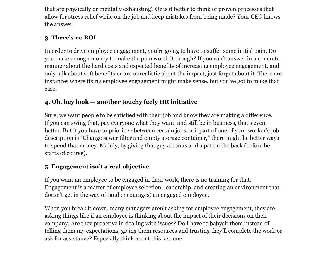that are physically or mentally exhausting? Or is it better to think of proven processes that allow for stress relief while on the job and keep mistakes from being made? Your CEO knows the answer.

# **3. There's no ROI**

In order to drive employee engagement, you're going to have to suffer some initial pain. Do you make enough money to make the pain worth it though? If you can't answer in a concrete manner about the hard costs and expected benefits of increasing employee engagement, and only talk about soft benefits or are unrealistic about the impact, just forget about it. There are instances where fixing employee engagement might make sense, but you've got to make that case.

# **4. Oh, hey look — another touchy feely HR initiative**

Sure, we want people to be satisfied with their job and know they are making a difference. If you can swing that, pay everyone what they want, and still be in business, that's even better. But if you have to prioritize between certain jobs or if part of one of your worker's job description is "Change sewer filter and empty storage container," there might be better ways to spend that money. Mainly, by giving that guy a bonus and a pat on the back (before he starts of course).

## **5. Engagement isn't a real objective**

If you want an employee to be engaged in their work, there is no training for that. Engagement is a matter of employee selection, leadership, and creating an environment that doesn't get in the way of (and encourages) an engaged employee.

When you break it down, many managers aren't asking for employee engagement, they are asking things like if an employee is thinking about the impact of their decisions on their company. Are they proactive in dealing with issues? Do I have to babysit them instead of telling them my expectations, giving them resources and trusting they'll complete the work or ask for assistance? Especially think about this last one.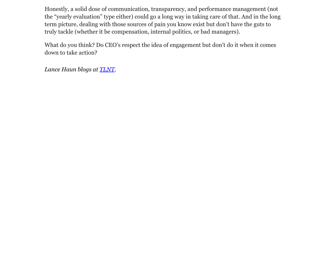Honestly, a solid dose of communication, transparency, and performance management (not the "yearly evaluation" type either) could go a long way in taking care of that. And in the long term picture, dealing with those sources of pain you know exist but don't have the guts to truly tackle (whether it be compensation, internal politics, or bad managers).

What do you think? Do CEO's respect the idea of engagement but don't do it when it comes down to take action?

*Lance Haun blogs at [TLNT.](http://www.google.com/url?q=http%3A%2F%2Ftlnt.com&sa=D&sntz=1&usg=AFQjCNGEkhsvo-mwxwMQ8_koq_7BYeVeZw)*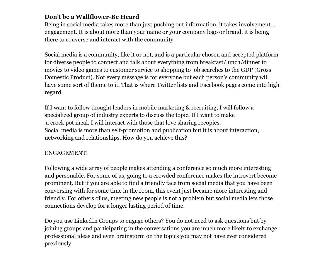## **Don't be a Wallflower-Be Heard**

Being in social media takes more than just pushing out information, it takes involvement… engagement. It is about more than your name or your company logo or brand, it is being there to converse and interact with the community.

Social media is a community, like it or not, and is a particular chosen and accepted platform for diverse people to connect and talk about everything from breakfast/lunch/dinner to movies to video games to customer service to shopping to job searches to the GDP (Gross Domestic Product). Not every message is for everyone but each person's community will have some sort of theme to it. That is where Twitter lists and Facebook pages come into high regard.

If I want to follow thought leaders in mobile marketing & recruiting, I will follow a specialized group of industry experts to discuss the topic. If I want to make a crock pot meal, I will interact with those that love sharing recopies. Social media is more than self-promotion and publication but it is about interaction, networking and relationships. How do you achieve this?

#### ENGAGEMENT!

Following a wide array of people makes attending a conference so much more interesting and personable. For some of us, going to a crowded conference makes the introvert become prominent. But if you are able to find a friendly face from social media that you have been conversing with for some time in the room, this event just became more interesting and friendly. For others of us, meeting new people is not a problem but social media lets those connections develop for a longer lasting period of time.

Do you use LinkedIn Groups to engage others? You do not need to ask questions but by joining groups and participating in the conversations you are much more likely to exchange professional ideas and even brainstorm on the topics you may not have ever considered previously.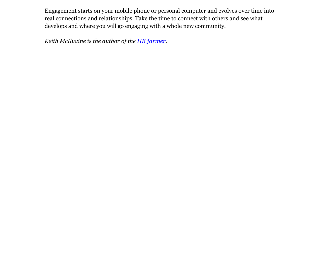Engagement starts on your mobile phone or personal computer and evolves over time into real connections and relationships. Take the time to connect with others and see what develops and where you will go engaging with a whole new community.

*Keith McIlvaine is the author of the [HR](http://www.google.com/url?q=http%3A%2F%2Fkwmblogspot.wordpress.com%2F&sa=D&sntz=1&usg=AFQjCNGH2adav6ijUoqJBGkhLBtXYIg0XA) fa[rmer.](http://www.google.com/url?q=http%3A%2F%2Fkwmblogspot.wordpress.com%2F&sa=D&sntz=1&usg=AFQjCNGH2adav6ijUoqJBGkhLBtXYIg0XA)*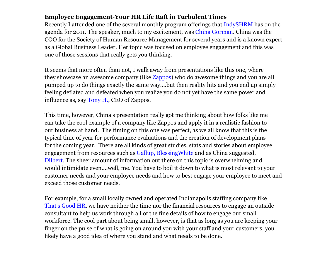## **Employee Engagement-Your HR Life Raft in Turbulent Times**

Recently I attended one of the several monthly program offerings that [IndySHRM](http://www.google.com/url?q=http%3A%2F%2Fwww.indyshrm.org%2Fevents%2Fcurrent-events%2F&sa=D&sntz=1&usg=AFQjCNF9-RsRyVwbDhtk_otFzFvQvLiajQ) has on the agenda for 2011. The speaker, much to my excitement, was [China](http://www.google.com/url?q=http%3A%2F%2Fchinagorman.com%2F&sa=D&sntz=1&usg=AFQjCNF4TTGLraej_ZTpcyCTJl10kn8ErA) Gor[ma](http://www.google.com/url?q=http%3A%2F%2Fchinagorman.com%2F&sa=D&sntz=1&usg=AFQjCNF4TTGLraej_ZTpcyCTJl10kn8ErA)n. [China](http://www.google.com/url?q=http%3A%2F%2Fchinagorman.com%2F&sa=D&sntz=1&usg=AFQjCNF4TTGLraej_ZTpcyCTJl10kn8ErA) was the COO for the Society of Human Resource Management for several years and is a known expert as a Global Business Leader. Her topic was focused on employee engagement and this was one of those sessions that really gets you thinking.

It seems that more often than not, I walk away from presentations like this one, where they showcase an awesome company (like [Zappos\)](http://www.google.com/url?q=http%3A%2F%2Fwww.zappos.com%2F&sa=D&sntz=1&usg=AFQjCNE1pNa46d2uB70SNd4ZRvS1tL70zQ) who do awesome things and you are all pumped up to do things exactly the same way....but then reality hits and you end up simply feeling deflated and defeated when you realize you do not yet have the same power and influence as, say [Tony](http://www.google.com/url?q=http%3A%2F%2Fabout.zappos.com%2Fmeet-our-monkeys%2Ftony-hsieh-ceo&sa=D&sntz=1&usg=AFQjCNGlQQ0fP8wUdvam9nOVa2ee7mRiXQ) H., [CEO](http://www.google.com/url?q=http%3A%2F%2Fabout.zappos.com%2Fmeet-our-monkeys%2Ftony-hsieh-ceo&sa=D&sntz=1&usg=AFQjCNGlQQ0fP8wUdvam9nOVa2ee7mRiXQ) of Zappos.

This time, however, China's presentation really got me thinking about how folks like me can take the cool example of a company like Zappos and apply it in a realistic fashion to our business at hand. The timing on this one was perfect, as we all know that this is the typical time of year for performance evaluations and the creation of development plans for the coming year. There are all kinds of great studies, stats and stories about employee engagement from resources such as [Gallup](http://www.google.com/url?q=http%3A%2F%2Fwww.gallup.com%2Fhome.aspx&sa=D&sntz=1&usg=AFQjCNH6c6oO8c-DTvtalLBVdJIS5-OXsQ), Blessin[gWhite](http://www.google.com/url?q=http%3A%2F%2Fwww.blessingwhite.com%2Fhome.asp&sa=D&sntz=1&usg=AFQjCNFrRnbdiyK8yjuVcmW0f5H2azvRlw) and as China suggested, [Dilbert.](http://www.google.com/url?q=http%3A%2F%2Fwww.dilbert.com%2F&sa=D&sntz=1&usg=AFQjCNERKdqRAffJqgcf2YD6SQ5IMpSpXg) The sheer amount of information out there on this topic is overwhelming and would intimidate even....well, me. You have to boil it down to what is most relevant to your customer needs and your employee needs and how to best engage your employee to meet and exceed those customer needs.

For example, for a small locally owned and operated Indianapolis staffing company like [That](http://www.google.com/url?q=http%3A%2F%2Fwww.thatsgoodhr.com%2F&sa=D&sntz=1&usg=AFQjCNGLE8rAQrp61RhDBk96-X5jB8VgzA)'s G[ood](http://www.google.com/url?q=http%3A%2F%2Fwww.thatsgoodhr.com%2F&sa=D&sntz=1&usg=AFQjCNGLE8rAQrp61RhDBk96-X5jB8VgzA) [HR,](http://www.google.com/url?q=http%3A%2F%2Fwww.thatsgoodhr.com%2F&sa=D&sntz=1&usg=AFQjCNGLE8rAQrp61RhDBk96-X5jB8VgzA) we hav[e](http://www.google.com/url?q=http%3A%2F%2Fwww.thatsgoodhr.com%2F&sa=D&sntz=1&usg=AFQjCNGLE8rAQrp61RhDBk96-X5jB8VgzA) [nei](http://www.google.com/url?q=http%3A%2F%2Fwww.thatsgoodhr.com%2F&sa=D&sntz=1&usg=AFQjCNGLE8rAQrp61RhDBk96-X5jB8VgzA)ther the time nor the financial resources to engage an outside consultant to help us work through all of the fine details of how to engage our small workforce. The cool part about being small, however, is that as long as you are keeping your finger on the pulse of what is going on around you with your staff and your customers, you likely have a good idea of where you stand and what needs to be done.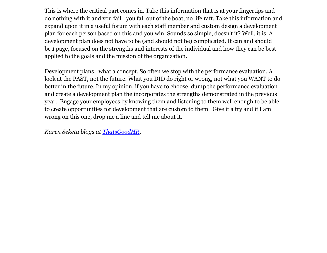This is where the critical part comes in. Take this information that is at your fingertips and do nothing with it and you fail...you fall out of the boat, no life raft. Take this information and expand upon it in a useful forum with each staff member and custom design a development plan for each person based on this and you win. Sounds so simple, doesn't it? Well, it is. A development plan does not have to be (and should not be) complicated. It can and should be 1 page, focused on the strengths and interests of the individual and how they can be best applied to the goals and the mission of the organization.

Development plans...what a concept. So often we stop with the performance evaluation. A look at the PAST, not the future. What you DID do right or wrong, not what you WANT to do better in the future. In my opinion, if you have to choose, dump the performance evaluation and create a development plan the incorporates the strengths demonstrated in the previous year. Engage your employees by knowing them and listening to them well enough to be able to create opportunities for development that are custom to them. Give it a try and if I am wrong on this one, drop me a line and tell me about it.

*Karen Seketa blogs at [ThatsGoodHR](http://www.google.com/url?q=http%3A%2F%2Fblog.thatsgoodhr.com&sa=D&sntz=1&usg=AFQjCNGMWpEiDAoIgcF1gKCjcfJrLd4gaA).*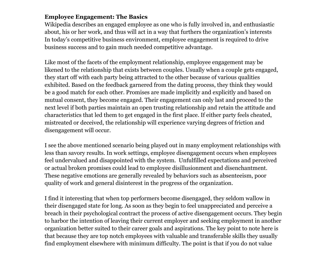## **Employee Engagement: The Basics**

Wikipedia describes an engaged employee as one who is fully involved in, and enthusiastic about, his or her work, and thus will act in a way that furthers the organization's interests In today's competitive business environment, employee engagement is required to drive business success and to gain much needed competitive advantage.

Like most of the facets of the employment relationship, employee engagement may be likened to the relationship that exists between couples. Usually when a couple gets engaged, they start off with each party being attracted to the other because of various qualities exhibited. Based on the feedback garnered from the dating process, they think they would be a good match for each other. Promises are made implicitly and explicitly and based on mutual consent, they become engaged. Their engagement can only last and proceed to the next level if both parties maintain an open trusting relationship and retain the attitude and characteristics that led them to get engaged in the first place. If either party feels cheated, mistreated or deceived, the relationship will experience varying degrees of friction and disengagement will occur.

I see the above mentioned scenario being played out in many employment relationships with less than savory results. In work settings, employee disengagement occurs when employees feel undervalued and disappointed with the system. Unfulfilled expectations and perceived or actual broken promises could lead to employee disillusionment and disenchantment. These negative emotions are generally revealed by behaviors such as absenteeism, poor quality of work and general disinterest in the progress of the organization.

I find it interesting that when top performers become disengaged, they seldom wallow in their disengaged state for long. As soon as they begin to feel unappreciated and perceive a breach in their psychological contract the process of active disengagement occurs. They begin to harbor the intention of leaving their current employer and seeking employment in another organization better suited to their career goals and aspirations. The key point to note here is that because they are top notch employees with valuable and transferable skills they usually find employment elsewhere with minimum difficulty. The point is that if you do not value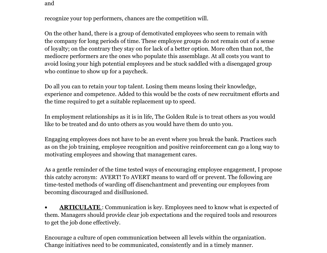and

recognize your top performers, chances are the competition will.

On the other hand, there is a group of demotivated employees who seem to remain with the company for long periods of time. These employee groups do not remain out of a sense of loyalty; on the contrary they stay on for lack of a better option. More often than not, the mediocre performers are the ones who populate this assemblage. At all costs you want to avoid losing your high potential employees and be stuck saddled with a disengaged group who continue to show up for a paycheck.

Do all you can to retain your top talent. Losing them means losing their knowledge, experience and competence. Added to this would be the costs of new recruitment efforts and the time required to get a suitable replacement up to speed.

In employment relationships as it is in life, The Golden Rule is to treat others as you would like to be treated and do unto others as you would have them do unto you.

Engaging employees does not have to be an event where you break the bank. Practices such as on the job training, employee recognition and positive reinforcement can go a long way to motivating employees and showing that management cares.

As a gentle reminder of the time tested ways of encouraging employee engagement, I propose this catchy acronym: AVERT! To AVERT means to ward off or prevent. The following are time-tested methods of warding off disenchantment and preventing our employees from becoming discouraged and disillusioned.

• **ARTICULATE**: Communication is key. Employees need to know what is expected of them. Managers should provide clear job expectations and the required tools and resources to get the job done effectively.

Encourage a culture of open communication between all levels within the organization. Change initiatives need to be communicated, consistently and in a timely manner.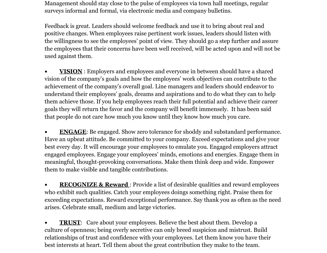Management should stay close to the pulse of employees via town hall meetings, regular surveys informal and formal, via electronic media and company bulletins.

Feedback is great. Leaders should welcome feedback and use it to bring about real and positive changes. When employees raise pertinent work issues, leaders should listen with the willingness to see the employees' point of view. They should go a step further and assure the employees that their concerns have been well received, will be acted upon and will not be used against them.

• **VISION** : Employers and employees and everyone in between should have a shared vision of the company's goals and how the employees' work objectives can contribute to the achievement of the company's overall goal. Line managers and leaders should endeavor to understand their employees' goals, dreams and aspirations and to do what they can to help them achieve those. If you help employees reach their full potential and achieve their career goals they will return the favor and the company will benefit immensely. It has been said that people do not care how much you know until they know how much you care.

• **ENGAGE:** Be engaged. Show zero tolerance for shoddy and substandard performance. Have an upbeat attitude. Be committed to your company. Exceed expectations and give your best every day. It will encourage your employees to emulate you. Engaged employers attract engaged employees. Engage your employees' minds, emotions and energies. Engage them in meaningful, thought-provoking conversations. Make them think deep and wide. Empower them to make visible and tangible contributions.

**• RECOGNIZE & Reward**: Provide a list of desirable qualities and reward employees who exhibit such qualities. Catch your employees doings something right. Praise them for exceeding expectations. Reward exceptional performance. Say thank you as often as the need arises. Celebrate small, medium and large victories.

• **TRUST:** Care about your employees. Believe the best about them. Develop a culture of openness; being overly secretive can only breed suspicion and mistrust. Build relationships of trust and confidence with your employees. Let them know you have their best interests at heart. Tell them about the great contribution they make to the team.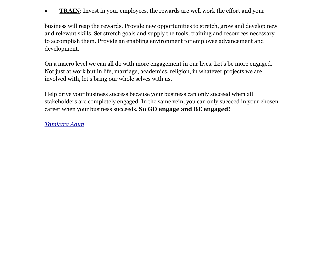• **TRAIN:** Invest in your employees, the rewards are well work the effort and your

business will reap the rewards. Provide new opportunities to stretch, grow and develop new and relevant skills. Set stretch goals and supply the tools, training and resources necessary to accomplish them. Provide an enabling environment for employee advancement and development.

On a macro level we can all do with more engagement in our lives. Let's be more engaged. Not just at work but in life, marriage, academics, religion, in whatever projects we are involved with, let's bring our whole selves with us.

Help drive your business success because your business can only succeed when all stakeholders are completely engaged. In the same vein, you can only succeed in your chosen career when your business succeeds. **So GO engage and BE engaged!**

*[Tamkara](http://www.google.com/url?q=http%3A%2F%2Fwww.linkedin.com%2Fpub%2Ftamkara-adun%2Fb%2F863%2F315&sa=D&sntz=1&usg=AFQjCNEEYE2nWz33s7pdf_wzJwWSOs21Kg) Adun*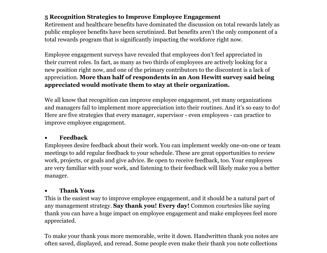## **5 Recognition Strategies to Improve Employee Engagement**

Retirement and healthcare benefits have dominated the discussion on total rewards lately as public employee benefits have been scrutinized. But benefits aren't the only component of a total rewards program that is significantly impacting the workforce right now.

Employee engagement surveys have revealed that employees don't feel appreciated in their current roles. In fact, as many as two thirds of employees are actively looking for a new position right now, and one of the primary contributors to the discontent is a lack of appreciation. **More than half of respondents in an Aon Hewitt survey said being appreciated would motivate them to stay at their organization.**

We all know that recognition can improve employee engagement, yet many organizations and managers fail to implement more appreciation into their routines. And it's so easy to do! Here are five strategies that every manager, supervisor - even employees - can practice to improve employee engagement.

#### ● **Feedback**

Employees desire feedback about their work. You can implement weekly one-on-one or team meetings to add regular feedback to your schedule. These are great opportunities to review work, projects, or goals and give advice. Be open to receive feedback, too. Your employees are very familiar with your work, and listening to their feedback will likely make you a better manager.

## ● **Thank Yous**

This is the easiest way to improve employee engagement, and it should be a natural part of any management strategy. **Say thank you! Every day!** Common courtesies like saying thank you can have a huge impact on employee engagement and make employees feel more appreciated.

To make your thank yous more memorable, write it down. Handwritten thank you notes are often saved, displayed, and reread. Some people even make their thank you note collections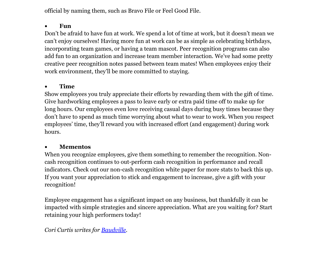official by naming them, such as Bravo File or Feel Good File.

#### ● **Fun**

Don't be afraid to have fun at work. We spend a lot of time at work, but it doesn't mean we can't enjoy ourselves! Having more fun at work can be as simple as celebrating birthdays, incorporating team games, or having a team mascot. Peer recognition programs can also add fun to an organization and increase team member interaction. We've had some pretty creative peer recognition notes passed between team mates! When employees enjoy their work environment, they'll be more committed to staying.

## ● **Time**

Show employees you truly appreciate their efforts by rewarding them with the gift of time. Give hardworking employees a pass to leave early or extra paid time off to make up for long hours. Our employees even love receiving casual days during busy times because they don't have to spend as much time worrying about what to wear to work. When you respect employees' time, they'll reward you with increased effort (and engagement) during work hours.

#### ● **Mementos**

When you recognize employees, give them something to remember the recognition. Noncash recognition continues to out-perform cash recognition in performance and recall indicators. Check out our non-cash recognition white paper for more stats to back this up. If you want your appreciation to stick and engagement to increase, give a gift with your recognition!

Employee engagement has a significant impact on any business, but thankfully it can be impacted with simple strategies and sincere appreciation. What are you waiting for? Start retaining your high performers today!

*Cori Curtis writes for [Baudville.](http://www.google.com/url?q=http%3A%2F%2Fbvblog.baudville.com%2F&sa=D&sntz=1&usg=AFQjCNHBt-5NNrt8EHzEjTv_28pZ95-xZQ)*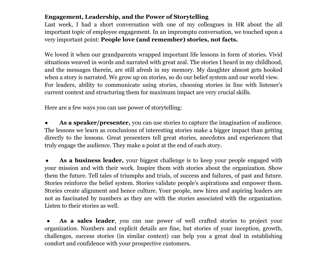## **Engagement, Leadership, and the Power of Storytelling**

Last week, I had a short conversation with one of my colleagues in HR about the all important topic of employee engagement. In an impromptu conversation, we touched upon a very important point: **People love (and remember) stories, not facts.**

We loved it when our grandparents wrapped important life lessons in form of stories. Vivid situations weaved in words and narrated with great zeal. The stories I heard in my childhood, and the messages therein, are still afresh in my memory. My daughter almost gets hooked when a story is narrated. We grow up on stories, so do our belief system and our world view. For leaders, ability to communicate using stories, choosing stories in line with listener's current context and structuring them for maximum impact are very crucial skills.

Here are a few ways you can use power of storytelling:

As a **speaker/presenter**, you can use stories to capture the imagination of audience. The lessons we learn as conclusions of interesting stories make a bigger impact than getting directly to the lessons. Great presenters tell great stories, anecdotes and experiences that truly engage the audience. They make a point at the end of each story.

● **As a business leader,** your biggest challenge is to keep your people engaged with your mission and with their work. Inspire them with stories about the organization. Show them the future. Tell tales of triumphs and trials, of success and failures, of past and future. Stories reinforce the belief system. Stories validate people's aspirations and empower them. Stories create alignment and hence culture. Your people, new hires and aspiring leaders are not as fascinated by numbers as they are with the stories associated with the organization. Listen to their stories as well.

As a sales leader, you can use power of well crafted stories to project your organization. Numbers and explicit details are fine, but stories of your inception, growth, challenges, success stories (in similar context) can help you a great deal in establishing comfort and confidence with your prospective customers.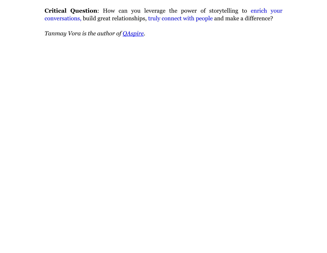**Critical Question**: How can you leverage the power of storytelling to [enrich](http://www.google.com/url?q=http%3A%2F%2Fqaspire.com%2Fblog%2F2010%2F07%2F26%2Fbook-review-everyone-communicates-few-connect%2F&sa=D&sntz=1&usg=AFQjCNHri5PN_W7uzOkNa0qFMfsfvjqvZQ) your [conversations,](http://www.google.com/url?q=http%3A%2F%2Fqaspire.com%2Fblog%2F2010%2F07%2F26%2Fbook-review-everyone-communicates-few-connect%2F&sa=D&sntz=1&usg=AFQjCNHri5PN_W7uzOkNa0qFMfsfvjqvZQ) build great relationships, [truly](http://www.google.com/url?q=http%3A%2F%2Fqaspire.com%2Fblog%2F2010%2F07%2F19%2Fconnecting-building-relationships-and-team-success%2F&sa=D&sntz=1&usg=AFQjCNEciQz1P22IS3vhGHZLZaeS2rYViQ) con[n](http://www.google.com/url?q=http%3A%2F%2Fqaspire.com%2Fblog%2F2010%2F07%2F19%2Fconnecting-building-relationships-and-team-success%2F&sa=D&sntz=1&usg=AFQjCNEciQz1P22IS3vhGHZLZaeS2rYViQ)ect [with](http://www.google.com/url?q=http%3A%2F%2Fqaspire.com%2Fblog%2F2010%2F07%2F19%2Fconnecting-building-relationships-and-team-success%2F&sa=D&sntz=1&usg=AFQjCNEciQz1P22IS3vhGHZLZaeS2rYViQ) people [and](http://www.google.com/url?q=http%3A%2F%2Fqaspire.com%2Fblog%2F2010%2F07%2F19%2Fconnecting-building-relationships-and-team-success%2F&sa=D&sntz=1&usg=AFQjCNEciQz1P22IS3vhGHZLZaeS2rYViQ) make [a](http://www.google.com/url?q=http%3A%2F%2Fqaspire.com%2Fblog%2F2010%2F07%2F19%2Fconnecting-building-relationships-and-team-success%2F&sa=D&sntz=1&usg=AFQjCNEciQz1P22IS3vhGHZLZaeS2rYViQ) [differe](http://www.google.com/url?q=http%3A%2F%2Fqaspire.com%2Fblog%2F2010%2F07%2F19%2Fconnecting-building-relationships-and-team-success%2F&sa=D&sntz=1&usg=AFQjCNEciQz1P22IS3vhGHZLZaeS2rYViQ)nce?

*Tanmay Vora is the author of [QAspire](http://www.google.com/url?q=http%3A%2F%2Fqaspire.com%2Fblog&sa=D&sntz=1&usg=AFQjCNEEBQhuHAhGAs9MfEkB_MQkdlw6Cg).*